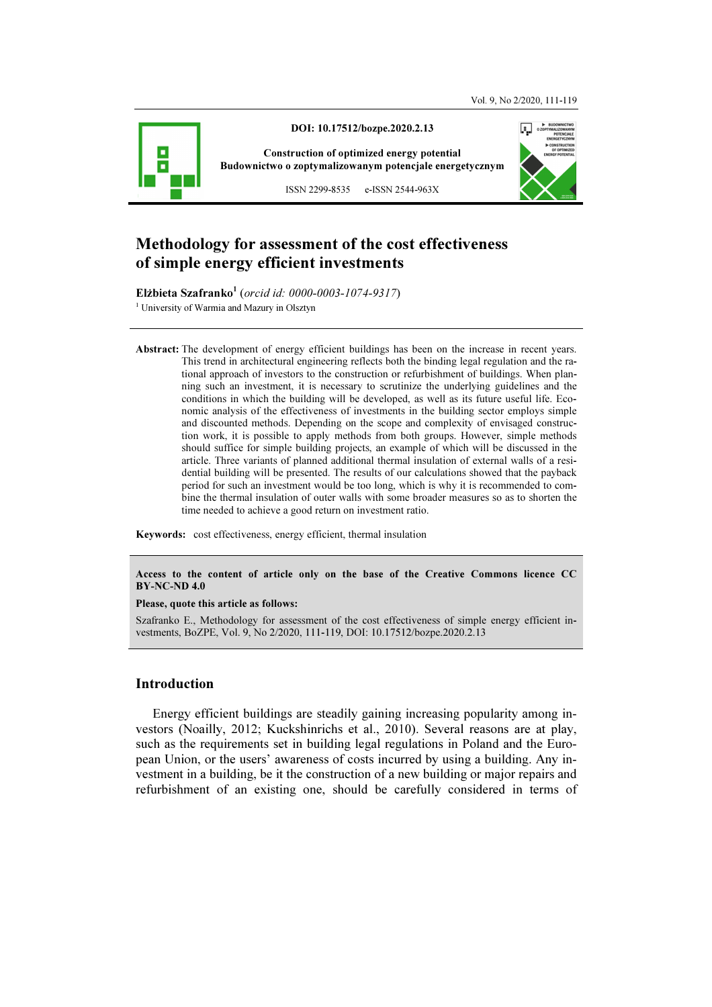

# Methodology for assessment of the cost effectiveness of simple energy efficient investments

Elżbieta Szafranko<sup>1</sup> (orcid id: 0000-0003-1074-9317) <sup>1</sup> University of Warmia and Mazury in Olsztyn

Abstract: The development of energy efficient buildings has been on the increase in recent years. This trend in architectural engineering reflects both the binding legal regulation and the rational approach of investors to the construction or refurbishment of buildings. When planning such an investment, it is necessary to scrutinize the underlying guidelines and the conditions in which the building will be developed, as well as its future useful life. Economic analysis of the effectiveness of investments in the building sector employs simple and discounted methods. Depending on the scope and complexity of envisaged construction work, it is possible to apply methods from both groups. However, simple methods should suffice for simple building projects, an example of which will be discussed in the article. Three variants of planned additional thermal insulation of external walls of a residential building will be presented. The results of our calculations showed that the payback period for such an investment would be too long, which is why it is recommended to combine the thermal insulation of outer walls with some broader measures so as to shorten the time needed to achieve a good return on investment ratio.

Keywords: cost effectiveness, energy efficient, thermal insulation

Access to the content of article only on the base of the Creative Commons licence CC BY-NC-ND 4.0

#### Please, quote this article as follows:

Szafranko E., Methodology for assessment of the cost effectiveness of simple energy efficient investments, BoZPE, Vol. 9, No 2/2020, 111-119, DOI: 10.17512/bozpe.2020.2.13

### Introduction

Energy efficient buildings are steadily gaining increasing popularity among investors (Noailly, 2012; Kuckshinrichs et al., 2010). Several reasons are at play, such as the requirements set in building legal regulations in Poland and the European Union, or the users' awareness of costs incurred by using a building. Any investment in a building, be it the construction of a new building or major repairs and refurbishment of an existing one, should be carefully considered in terms of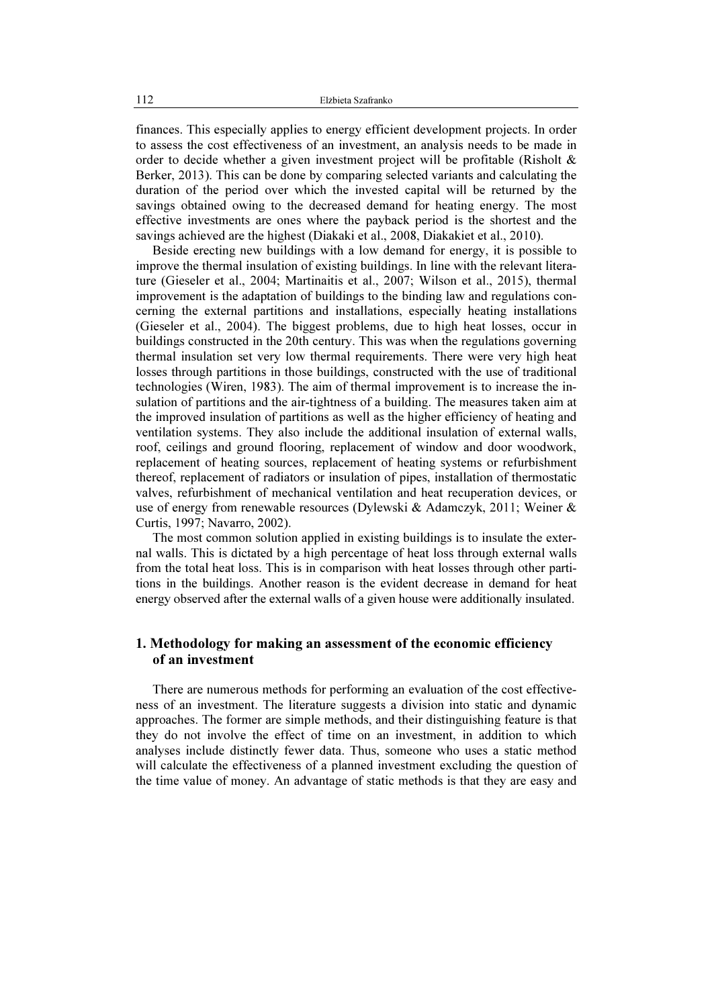finances. This especially applies to energy efficient development projects. In order to assess the cost effectiveness of an investment, an analysis needs to be made in order to decide whether a given investment project will be profitable (Risholt & Berker, 2013). This can be done by comparing selected variants and calculating the duration of the period over which the invested capital will be returned by the savings obtained owing to the decreased demand for heating energy. The most effective investments are ones where the payback period is the shortest and the savings achieved are the highest (Diakaki et al., 2008, Diakakiet et al., 2010).

Beside erecting new buildings with a low demand for energy, it is possible to improve the thermal insulation of existing buildings. In line with the relevant literature (Gieseler et al., 2004; Martinaitis et al., 2007; Wilson et al., 2015), thermal improvement is the adaptation of buildings to the binding law and regulations concerning the external partitions and installations, especially heating installations (Gieseler et al., 2004). The biggest problems, due to high heat losses, occur in buildings constructed in the 20th century. This was when the regulations governing thermal insulation set very low thermal requirements. There were very high heat losses through partitions in those buildings, constructed with the use of traditional technologies (Wiren, 1983). The aim of thermal improvement is to increase the insulation of partitions and the air-tightness of a building. The measures taken aim at the improved insulation of partitions as well as the higher efficiency of heating and ventilation systems. They also include the additional insulation of external walls, roof, ceilings and ground flooring, replacement of window and door woodwork, replacement of heating sources, replacement of heating systems or refurbishment thereof, replacement of radiators or insulation of pipes, installation of thermostatic valves, refurbishment of mechanical ventilation and heat recuperation devices, or use of energy from renewable resources (Dylewski & Adamczyk, 2011; Weiner & Curtis, 1997; Navarro, 2002).

The most common solution applied in existing buildings is to insulate the external walls. This is dictated by a high percentage of heat loss through external walls from the total heat loss. This is in comparison with heat losses through other partitions in the buildings. Another reason is the evident decrease in demand for heat energy observed after the external walls of a given house were additionally insulated.

# 1. Methodology for making an assessment of the economic efficiency of an investment

There are numerous methods for performing an evaluation of the cost effectiveness of an investment. The literature suggests a division into static and dynamic approaches. The former are simple methods, and their distinguishing feature is that they do not involve the effect of time on an investment, in addition to which analyses include distinctly fewer data. Thus, someone who uses a static method will calculate the effectiveness of a planned investment excluding the question of the time value of money. An advantage of static methods is that they are easy and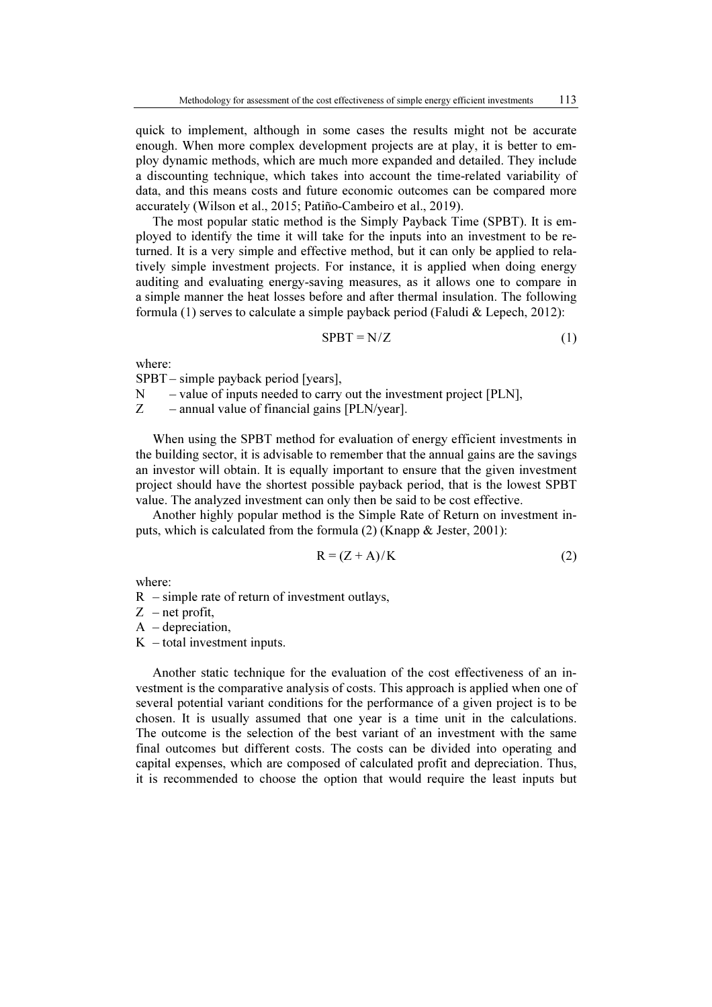quick to implement, although in some cases the results might not be accurate enough. When more complex development projects are at play, it is better to employ dynamic methods, which are much more expanded and detailed. They include a discounting technique, which takes into account the time-related variability of data, and this means costs and future economic outcomes can be compared more accurately (Wilson et al., 2015; Patiño-Cambeiro et al., 2019).

The most popular static method is the Simply Payback Time (SPBT). It is employed to identify the time it will take for the inputs into an investment to be returned. It is a very simple and effective method, but it can only be applied to relatively simple investment projects. For instance, it is applied when doing energy auditing and evaluating energy-saving measures, as it allows one to compare in a simple manner the heat losses before and after thermal insulation. The following formula (1) serves to calculate a simple payback period (Faludi & Lepech, 2012):

$$
SPBT = N/Z \tag{1}
$$

where:

SPBT – simple payback period [years],

 $N$  – value of inputs needed to carry out the investment project [PLN],

Z – annual value of financial gains [PLN/year].

When using the SPBT method for evaluation of energy efficient investments in the building sector, it is advisable to remember that the annual gains are the savings an investor will obtain. It is equally important to ensure that the given investment project should have the shortest possible payback period, that is the lowest SPBT value. The analyzed investment can only then be said to be cost effective.

Another highly popular method is the Simple Rate of Return on investment inputs, which is calculated from the formula (2) (Knapp & Jester, 2001):

$$
R = (Z + A)/K \tag{2}
$$

where:

 $R$  – simple rate of return of investment outlays,

 $Z$  – net profit,

 $A -$ depreciation,

 $K$  – total investment inputs.

Another static technique for the evaluation of the cost effectiveness of an investment is the comparative analysis of costs. This approach is applied when one of several potential variant conditions for the performance of a given project is to be chosen. It is usually assumed that one year is a time unit in the calculations. The outcome is the selection of the best variant of an investment with the same final outcomes but different costs. The costs can be divided into operating and capital expenses, which are composed of calculated profit and depreciation. Thus, it is recommended to choose the option that would require the least inputs but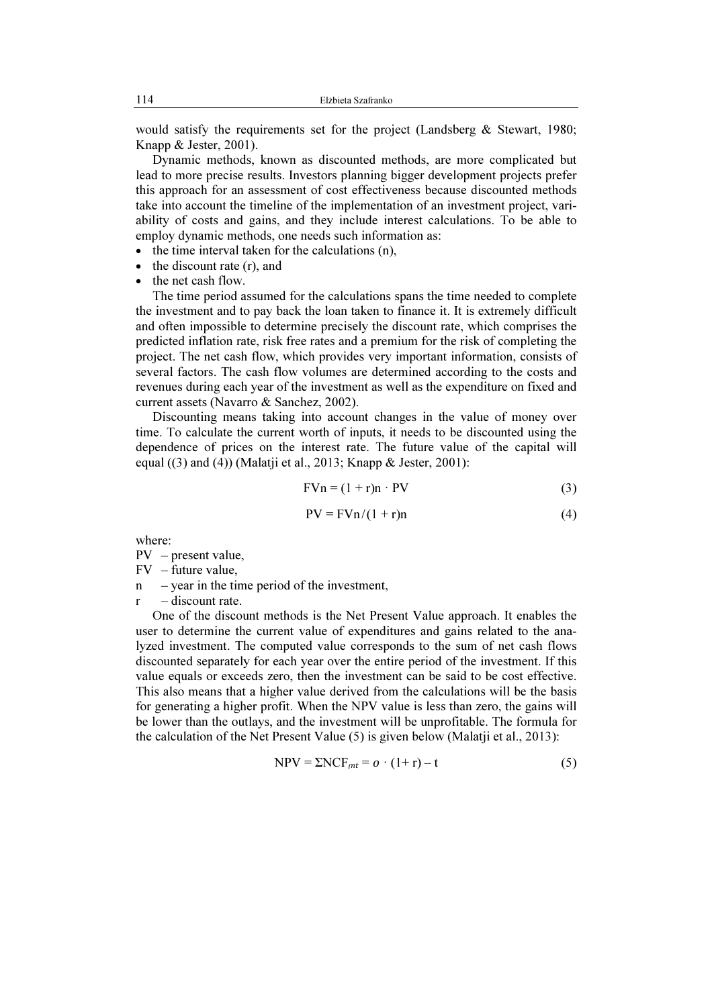would satisfy the requirements set for the project (Landsberg & Stewart, 1980; Knapp & Jester, 2001).

Dynamic methods, known as discounted methods, are more complicated but lead to more precise results. Investors planning bigger development projects prefer this approach for an assessment of cost effectiveness because discounted methods take into account the timeline of the implementation of an investment project, variability of costs and gains, and they include interest calculations. To be able to employ dynamic methods, one needs such information as:

- the time interval taken for the calculations (n),
- the discount rate (r), and
- the net cash flow.

The time period assumed for the calculations spans the time needed to complete the investment and to pay back the loan taken to finance it. It is extremely difficult and often impossible to determine precisely the discount rate, which comprises the predicted inflation rate, risk free rates and a premium for the risk of completing the project. The net cash flow, which provides very important information, consists of several factors. The cash flow volumes are determined according to the costs and revenues during each year of the investment as well as the expenditure on fixed and current assets (Navarro & Sanchez, 2002).

Discounting means taking into account changes in the value of money over time. To calculate the current worth of inputs, it needs to be discounted using the dependence of prices on the interest rate. The future value of the capital will equal ((3) and (4)) (Malatji et al., 2013; Knapp & Jester, 2001):

$$
FVn = (1 + r)n \cdot PV \tag{3}
$$

$$
PV = FVn/(1+r)n
$$
 (4)

where:

PV – present value,

 $FV - future value$ 

 $n$  – year in the time period of the investment,

 $r -$ discount rate.

One of the discount methods is the Net Present Value approach. It enables the user to determine the current value of expenditures and gains related to the analyzed investment. The computed value corresponds to the sum of net cash flows discounted separately for each year over the entire period of the investment. If this value equals or exceeds zero, then the investment can be said to be cost effective. This also means that a higher value derived from the calculations will be the basis for generating a higher profit. When the NPV value is less than zero, the gains will be lower than the outlays, and the investment will be unprofitable. The formula for the calculation of the Net Present Value (5) is given below (Malatji et al., 2013):

$$
NPV = \Sigma NCF_{mt} = o \cdot (1+r) - t \tag{5}
$$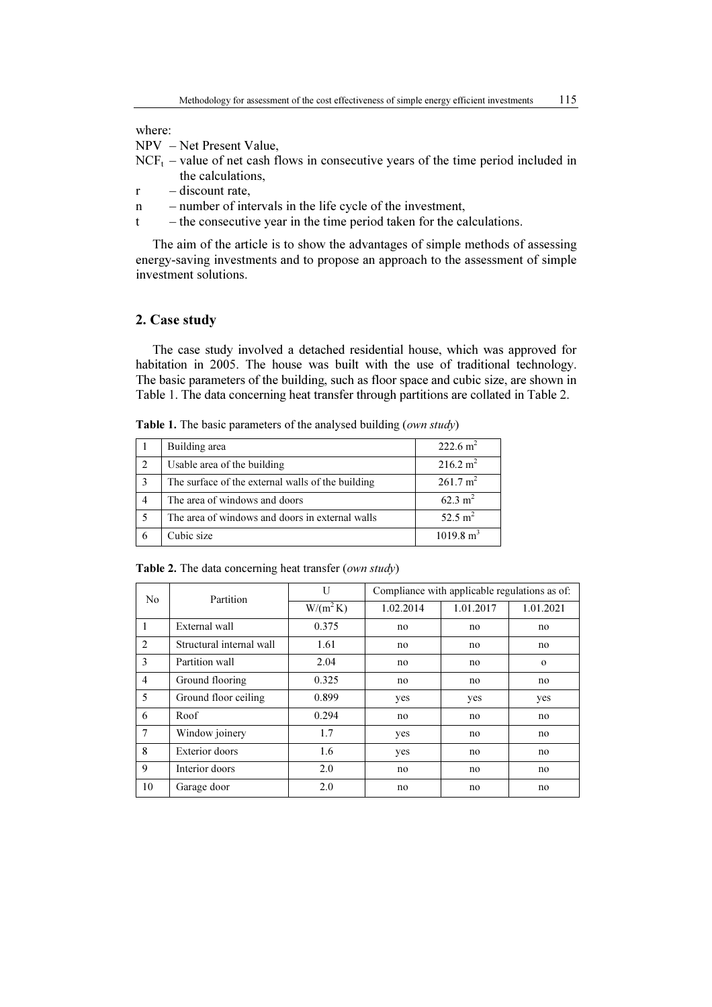where:

NPV – Net Present Value,

- $NCF<sub>t</sub>$  value of net cash flows in consecutive years of the time period included in the calculations,
- $r -$ discount rate,
- n number of intervals in the life cycle of the investment,
- t the consecutive year in the time period taken for the calculations.

The aim of the article is to show the advantages of simple methods of assessing energy-saving investments and to propose an approach to the assessment of simple investment solutions.

# 2. Case study

The case study involved a detached residential house, which was approved for habitation in 2005. The house was built with the use of traditional technology. The basic parameters of the building, such as floor space and cubic size, are shown in Table 1. The data concerning heat transfer through partitions are collated in Table 2.

Table 1. The basic parameters of the analysed building (own study)

|                | Building area                                     | $222.6 \text{ m}^2$  |
|----------------|---------------------------------------------------|----------------------|
| $\overline{2}$ | Usable area of the building                       | $216.2 \text{ m}^2$  |
| 3              | The surface of the external walls of the building | $261.7 \text{ m}^2$  |
| 4              | The area of windows and doors                     | $62.3 \text{ m}^2$   |
|                | The area of windows and doors in external walls   | 52.5 $m^2$           |
|                | Cubic size                                        | $1019.8 \text{ m}^3$ |

Table 2. The data concerning heat transfer (own study)

| N <sub>0</sub> | Partition                | U           | Compliance with applicable regulations as of: |           |           |  |
|----------------|--------------------------|-------------|-----------------------------------------------|-----------|-----------|--|
|                |                          | $W/(m^2 K)$ | 1.02.2014                                     | 1.01.2017 | 1.01.2021 |  |
|                | External wall            | 0.375       | no                                            | no        | no        |  |
| 2              | Structural internal wall | 1.61        | no                                            | no        | no        |  |
| 3              | Partition wall           | 2.04        | no                                            | no        | $\Omega$  |  |
| 4              | Ground flooring          | 0.325       | no                                            | no        | no        |  |
| 5              | Ground floor ceiling     | 0.899       | yes                                           | yes       | yes       |  |
| 6              | Roof                     | 0.294       | no                                            | no        | no        |  |
| 7              | Window joinery           | 1.7         | yes                                           | no        | no        |  |
| 8              | Exterior doors           | 1.6         | yes                                           | no        | no        |  |
| 9              | Interior doors           | 2.0         | no                                            | no        | no        |  |
| 10             | Garage door              | 2.0         | no                                            | no        | no        |  |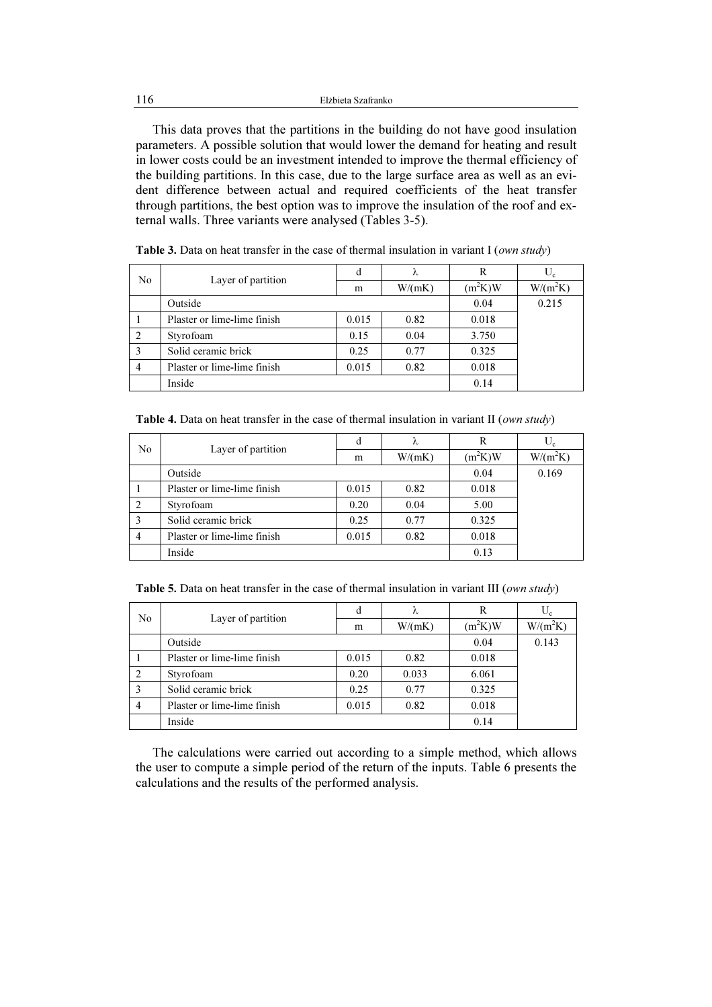This data proves that the partitions in the building do not have good insulation parameters. A possible solution that would lower the demand for heating and result in lower costs could be an investment intended to improve the thermal efficiency of the building partitions. In this case, due to the large surface area as well as an evident difference between actual and required coefficients of the heat transfer through partitions, the best option was to improve the insulation of the roof and external walls. Three variants were analysed (Tables 3-5).

| No | Layer of partition          | đ     | λ      | R         | $U_c$      |
|----|-----------------------------|-------|--------|-----------|------------|
|    |                             | m     | W/(mK) | $(m^2K)W$ | $W/(m^2K)$ |
|    | Outside                     |       |        | 0.04      | 0.215      |
|    | Plaster or lime-lime finish | 0.015 | 0.82   | 0.018     |            |
| 2  | Styrofoam                   | 0.15  | 0.04   | 3.750     |            |
| 3  | Solid ceramic brick         | 0.25  | 0.77   | 0.325     |            |
| 4  | Plaster or lime-lime finish | 0.015 | 0.82   | 0.018     |            |
|    | Inside                      |       |        | 0.14      |            |

Table 3. Data on heat transfer in the case of thermal insulation in variant I (own study)

Table 4. Data on heat transfer in the case of thermal insulation in variant II (own study)

| N <sub>0</sub> | Layer of partition                  | d     | λ      | R         |            |
|----------------|-------------------------------------|-------|--------|-----------|------------|
|                |                                     | m     | W/(mK) | $(m^2K)W$ | $W/(m^2K)$ |
|                | Outside                             |       |        | 0.04      | 0.169      |
|                | Plaster or lime-lime finish         | 0.015 | 0.82   | 0.018     |            |
| 2              | Styrofoam                           | 0.20  | 0.04   | 5.00      |            |
| 3              | Solid ceramic brick<br>0.25<br>0.77 |       | 0.325  |           |            |
| $\overline{4}$ | Plaster or lime-lime finish         | 0.015 | 0.82   | 0.018     |            |
|                | Inside                              |       |        | 0.13      |            |

Table 5. Data on heat transfer in the case of thermal insulation in variant III (*own study*)

| No             | Layer of partition                  | d     | λ      | R         | $U_c$      |
|----------------|-------------------------------------|-------|--------|-----------|------------|
|                |                                     | m     | W/(mK) | $(m^2K)W$ | $W/(m^2K)$ |
|                | Outside                             |       |        | 0.04      | 0.143      |
|                | Plaster or lime-lime finish         | 0.015 | 0.82   | 0.018     |            |
|                | Styrofoam                           | 0.20  | 0.033  | 6.061     |            |
|                | Solid ceramic brick<br>0.77<br>0.25 |       |        | 0.325     |            |
| $\overline{4}$ | Plaster or lime-lime finish         | 0.015 | 0.82   | 0.018     |            |
|                | Inside                              | 0.14  |        |           |            |

The calculations were carried out according to a simple method, which allows the user to compute a simple period of the return of the inputs. Table 6 presents the calculations and the results of the performed analysis.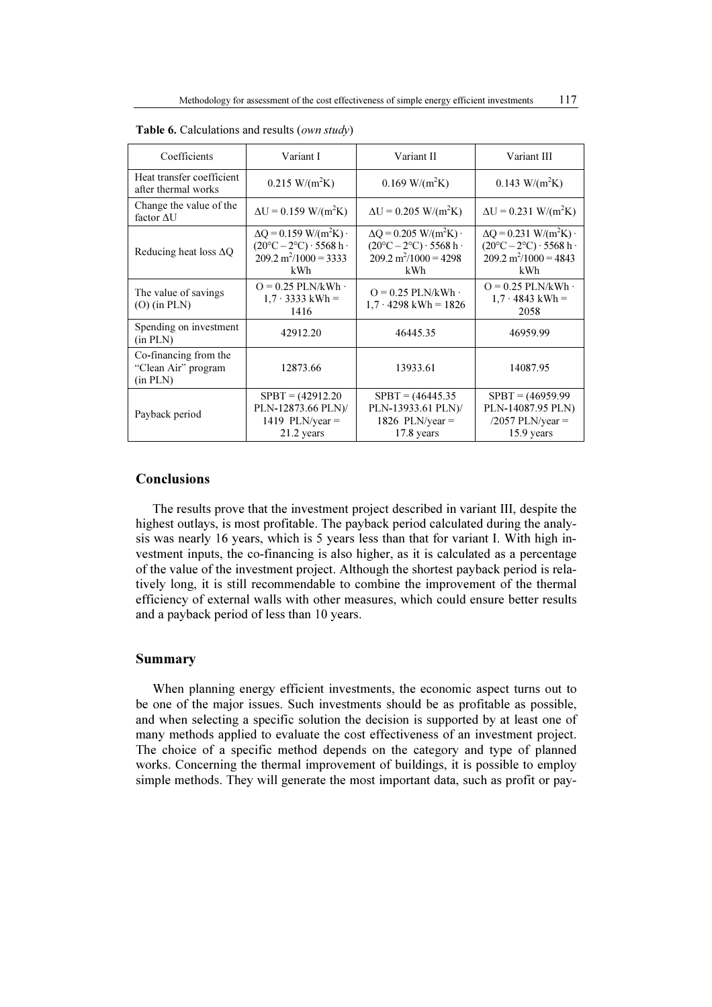| Coefficients                                             | Variant I<br>Variant II                                                                                                           |                                                                                                                                   | Variant III                                                                                                                        |  |
|----------------------------------------------------------|-----------------------------------------------------------------------------------------------------------------------------------|-----------------------------------------------------------------------------------------------------------------------------------|------------------------------------------------------------------------------------------------------------------------------------|--|
| Heat transfer coefficient<br>after thermal works         | $0.215$ W/(m <sup>2</sup> K)                                                                                                      | $0.169$ W/(m <sup>2</sup> K)                                                                                                      | $0.143$ W/(m <sup>2</sup> K)                                                                                                       |  |
| Change the value of the<br>factor $\Delta U$             | $\Delta U = 0.159$ W/(m <sup>2</sup> K)                                                                                           | $\Delta U = 0.205$ W/(m <sup>2</sup> K)                                                                                           | $\Delta U = 0.231 \text{ W/(m}^2 \text{K})$                                                                                        |  |
| Reducing heat loss $\Delta Q$                            | $\Delta Q$ = 0.159 W/(m <sup>2</sup> K) ·<br>$(20^{\circ}C - 2^{\circ}C) \cdot 5568$ h·<br>$209.2 \text{ m}^2/1000 = 3333$<br>kWh | $\Delta Q = 0.205$ W/(m <sup>2</sup> K) ·<br>$(20^{\circ}C - 2^{\circ}C) \cdot 5568$ h·<br>$209.2 \text{ m}^2/1000 = 4298$<br>kWh | $\Delta Q = 0.231$ W/(m <sup>2</sup> K) ·<br>$(20^{\circ}C - 2^{\circ}C) \cdot 5568$ h ·<br>$209.2 \text{ m}^2/1000 = 4843$<br>kWh |  |
| The value of savings<br>$(O)$ (in PLN)                   | $Q = 0.25$ PLN/kWh $\cdot$<br>$1.7 \cdot 3333 \text{ kWh} =$<br>1416                                                              | $Q = 0.25$ PLN/kWh $\cdot$<br>$1.7 \cdot 4298$ kWh = 1826                                                                         | $Q = 0.25$ PLN/kWh $\cdot$<br>$1.7 \cdot 4843$ kWh =<br>2058                                                                       |  |
| Spending on investment<br>(in PLN)                       | 42912.20                                                                                                                          | 46445.35                                                                                                                          | 46959.99                                                                                                                           |  |
| Co-financing from the<br>"Clean Air" program<br>(in PLN) | 12873.66                                                                                                                          | 13933.61                                                                                                                          | 14087.95                                                                                                                           |  |
| Payback period                                           | $SPBT = (42912.20)$<br>PLN-12873.66 PLN)/<br>1419 PLN/year $=$<br>21.2 years                                                      | $S$ PBT = $(46445.35$<br>PLN-13933.61 PLN)/<br>1826 PLN/year $=$<br>$17.8$ years                                                  | $S$ PBT = $(46959.99)$<br>PLN-14087.95 PLN)<br>$/2057$ PLN/year =<br>15.9 years                                                    |  |

Table 6. Calculations and results (own study)

# Conclusions

The results prove that the investment project described in variant III, despite the highest outlays, is most profitable. The payback period calculated during the analysis was nearly 16 years, which is 5 years less than that for variant I. With high investment inputs, the co-financing is also higher, as it is calculated as a percentage of the value of the investment project. Although the shortest payback period is relatively long, it is still recommendable to combine the improvement of the thermal efficiency of external walls with other measures, which could ensure better results and a payback period of less than 10 years.

### Summary

When planning energy efficient investments, the economic aspect turns out to be one of the major issues. Such investments should be as profitable as possible, and when selecting a specific solution the decision is supported by at least one of many methods applied to evaluate the cost effectiveness of an investment project. The choice of a specific method depends on the category and type of planned works. Concerning the thermal improvement of buildings, it is possible to employ simple methods. They will generate the most important data, such as profit or pay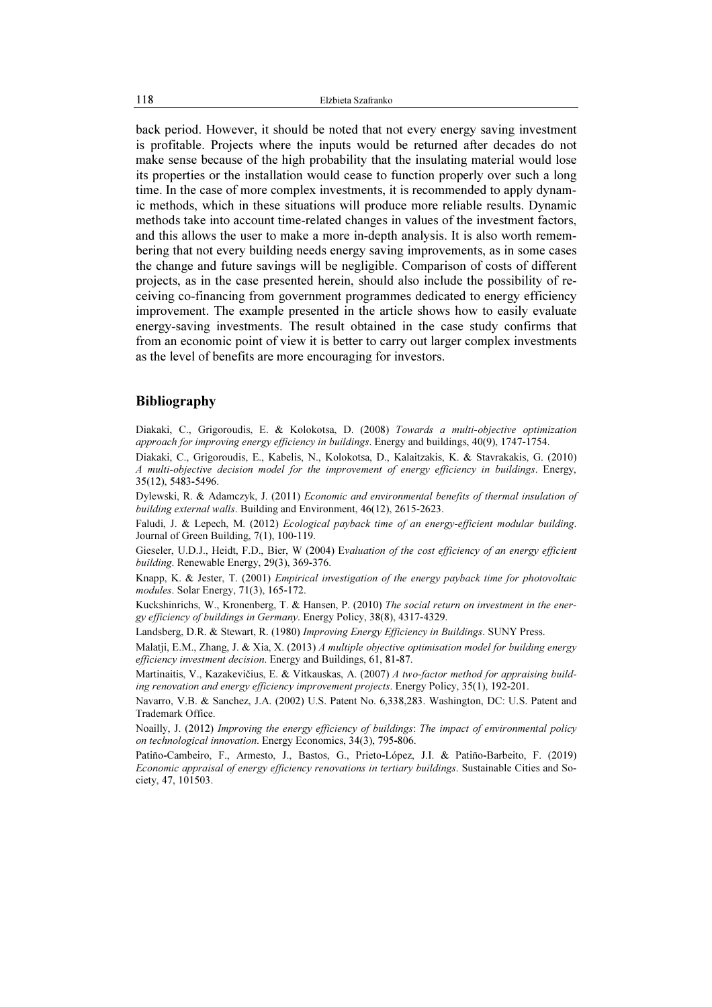back period. However, it should be noted that not every energy saving investment is profitable. Projects where the inputs would be returned after decades do not make sense because of the high probability that the insulating material would lose its properties or the installation would cease to function properly over such a long time. In the case of more complex investments, it is recommended to apply dynamic methods, which in these situations will produce more reliable results. Dynamic methods take into account time-related changes in values of the investment factors, and this allows the user to make a more in-depth analysis. It is also worth remembering that not every building needs energy saving improvements, as in some cases the change and future savings will be negligible. Comparison of costs of different projects, as in the case presented herein, should also include the possibility of receiving co-financing from government programmes dedicated to energy efficiency improvement. The example presented in the article shows how to easily evaluate energy-saving investments. The result obtained in the case study confirms that from an economic point of view it is better to carry out larger complex investments as the level of benefits are more encouraging for investors.

### Bibliography

Diakaki, C., Grigoroudis, E. & Kolokotsa, D. (2008) Towards a multi-objective optimization approach for improving energy efficiency in buildings. Energy and buildings, 40(9), 1747-1754.

Diakaki, C., Grigoroudis, E., Kabelis, N., Kolokotsa, D., Kalaitzakis, K. & Stavrakakis, G. (2010) A multi-objective decision model for the improvement of energy efficiency in buildings. Energy, 35(12), 5483-5496.

Dylewski, R. & Adamczyk, J. (2011) Economic and environmental benefits of thermal insulation of building external walls. Building and Environment, 46(12), 2615-2623.

Faludi, J. & Lepech, M. (2012) Ecological payback time of an energy-efficient modular building. Journal of Green Building, 7(1), 100-119.

Gieseler, U.D.J., Heidt, F.D., Bier, W (2004) Evaluation of the cost efficiency of an energy efficient building. Renewable Energy, 29(3), 369-376.

Knapp, K. & Jester, T. (2001) Empirical investigation of the energy payback time for photovoltaic modules. Solar Energy, 71(3), 165-172.

Kuckshinrichs, W., Kronenberg, T. & Hansen, P. (2010) The social return on investment in the energy efficiency of buildings in Germany. Energy Policy, 38(8), 4317-4329.

Landsberg, D.R. & Stewart, R. (1980) Improving Energy Efficiency in Buildings. SUNY Press.

Malatji, E.M., Zhang, J. & Xia, X. (2013) A multiple objective optimisation model for building energy efficiency investment decision. Energy and Buildings, 61, 81-87.

Martinaitis, V., Kazakevičius, E. & Vitkauskas, A. (2007) A two-factor method for appraising building renovation and energy efficiency improvement projects. Energy Policy, 35(1), 192-201.

Navarro, V.B. & Sanchez, J.A. (2002) U.S. Patent No. 6,338,283. Washington, DC: U.S. Patent and Trademark Office.

Noailly, J. (2012) Improving the energy efficiency of buildings: The impact of environmental policy on technological innovation. Energy Economics, 34(3), 795-806.

Patiño-Cambeiro, F., Armesto, J., Bastos, G., Prieto-López, J.I. & Patiño-Barbeito, F. (2019) Economic appraisal of energy efficiency renovations in tertiary buildings. Sustainable Cities and Society, 47, 101503.